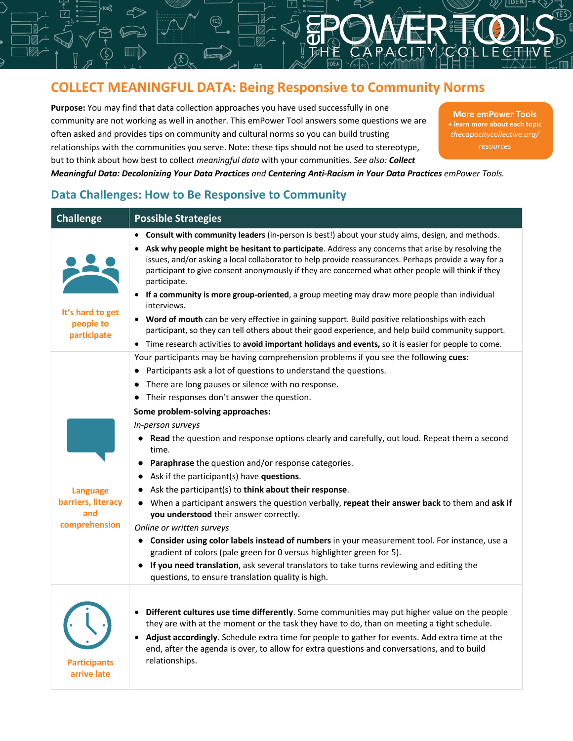# **COLLECT MEANINGFUL DATA: Being Responsive to Community Norms**

**Purpose:** You may find that data collection approaches you have used successfully in one community are not working as well in another. This emPower Tool answers some questions we are often asked and provides tips on community and cultural norms so you can build trusting relationships with the communities you serve. Note: these tips should not be used to stereotype, but to think about how best to collect *meaningful data* with your communities. *See also: Collect* 

**More emPower Tools + learn more about each topic** *thecapacitycollective.org/ resources*

## *Meaningful Data: Decolonizing Your Data Practices and Centering Anti-Racism in Your Data Practices emPower Tools.*

### **Challenge Possible Strategies It's hard to get people to participate** • **Consult with community leaders** (in-person is best!) about your study aims, design, and methods. • **Ask why people might be hesitant to participate**. Address any concerns that arise by resolving the issues, and/or asking a local collaborator to help provide reassurances. Perhaps provide a way for a participant to give consent anonymously if they are concerned what other people will think if they participate. • **If a community is more group-oriented**, a group meeting may draw more people than individual interviews. • **Word of mouth** can be very effective in gaining support. Build positive relationships with each participant, so they can tell others about their good experience, and help build community support. • Time research activities to **avoid important holidays and events,** so it is easier for people to come. **Language barriers, literacy and comprehension** Your participants may be having comprehension problems if you see the following **cues**: ● Participants ask a lot of questions to understand the questions. ● There are long pauses or silence with no response. ● Their responses don't answer the question. **Some problem-solving approaches:** *In-person surveys* ● **Read** the question and response options clearly and carefully, out loud. Repeat them a second time. ● **Paraphrase** the question and/or response categories. ● Ask if the participant(s) have **questions**. ● Ask the participant(s) to **think about their response**. ● When a participant answers the question verbally, **repeat their answer back** to them and **ask if you understood** their answer correctly. *Online or written surveys* ● **Consider using color labels instead of numbers** in your measurement tool. For instance, use a gradient of colors (pale green for 0 versus highlighter green for 5). ● **If you need translation**, ask several translators to take turns reviewing and editing the questions, to ensure translation quality is high. **Participants arrive late** • **Different cultures use time differently**. Some communities may put higher value on the people they are with at the moment or the task they have to do, than on meeting a tight schedule. • **Adjust accordingly**. Schedule extra time for people to gather for events. Add extra time at the end, after the agenda is over, to allow for extra questions and conversations, and to build relationships.

# **Data Challenges: How to Be Responsive to Community**